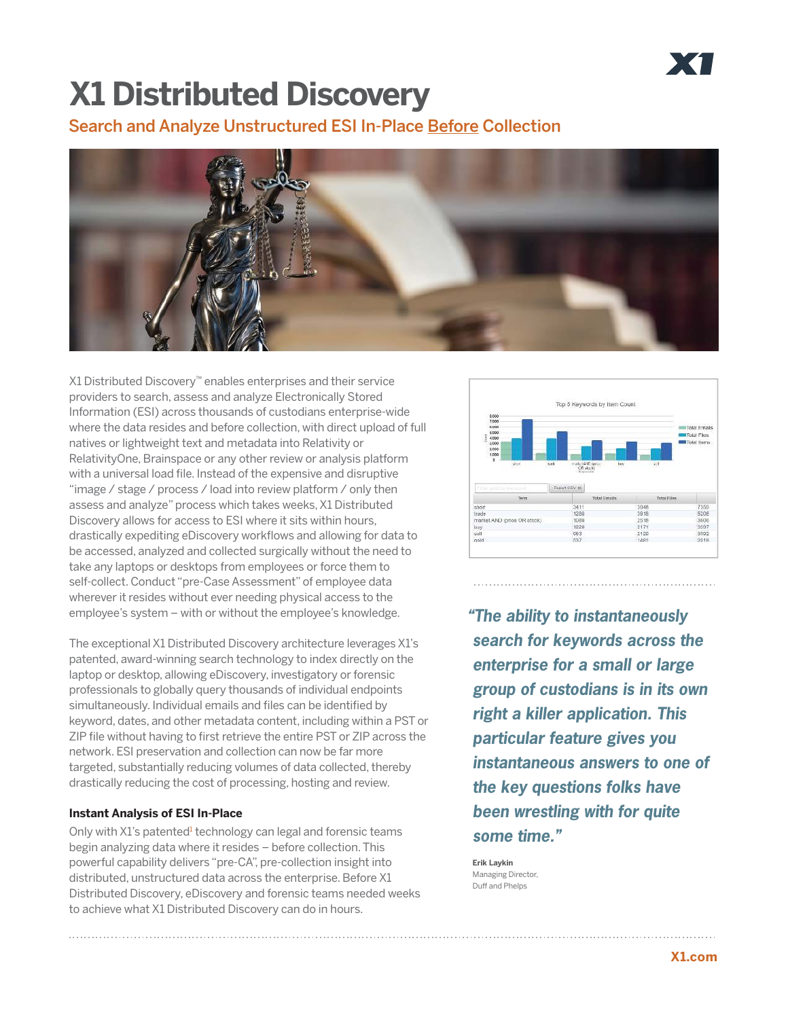# **X1 Distributed Discovery**

Search and Analyze Unstructured ESI In-Place Before Collection



X1 Distributed Discovery™ enables enterprises and their service providers to search, assess and analyze Electronically Stored Information (ESI) across thousands of custodians enterprise-wide where the data resides and before collection, with direct upload of full natives or lightweight text and metadata into Relativity or RelativityOne, Brainspace or any other review or analysis platform with a universal load file. Instead of the expensive and disruptive "image / stage / process / load into review platform / only then assess and analyze" process which takes weeks, X1 Distributed Discovery allows for access to ESI where it sits within hours, drastically expediting eDiscovery workflows and allowing for data to be accessed, analyzed and collected surgically without the need to take any laptops or desktops from employees or force them to self-collect. Conduct "pre-Case Assessment" of employee data wherever it resides without ever needing physical access to the employee's system – with or without the employee's knowledge.

The exceptional X1 Distributed Discovery architecture leverages X1's patented, award-winning search technology to index directly on the laptop or desktop, allowing eDiscovery, investigatory or forensic professionals to globally query thousands of individual endpoints simultaneously. Individual emails and files can be identified by keyword, dates, and other metadata content, including within a PST or ZIP file without having to first retrieve the entire PST or ZIP across the network. ESI preservation and collection can now be far more targeted, substantially reducing volumes of data collected, thereby drastically reducing the cost of processing, hosting and review.

### **Instant Analysis of ESI In-Place**

Only with X1's patented<sup>1</sup> technology can legal and forensic teams begin analyzing data where it resides – before collection. This powerful capability delivers "pre-CA", pre-collection insight into distributed, unstructured data across the enterprise. Before X1 Distributed Discovery, eDiscovery and forensic teams needed weeks to achieve what X1 Distributed Discovery can do in hours.



**"The ability to instantaneously search for keywords across the enterprise for a small or large group of custodians is in its own right a killer application. This particular feature gives you instantaneous answers to one of the key questions folks have been wrestling with for quite some time."**

**Erik Laykin**  Managing Director, Duff and Phelps